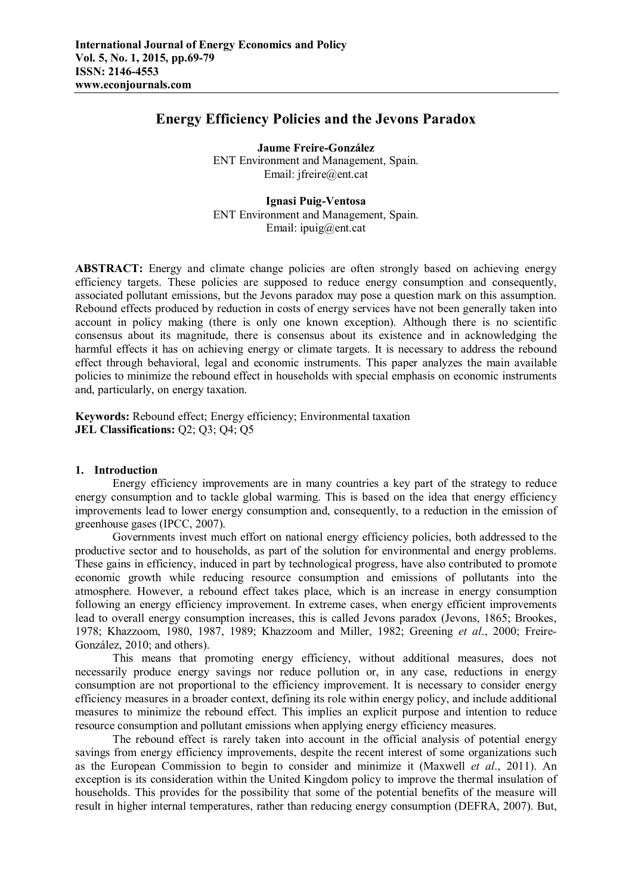# **Energy Efficiency Policies and the Jevons Paradox**

**Jaume Freire-González** ENT Environment and Management, Spain. Email: jfreire@ent.cat

**Ignasi Puig-Ventosa** ENT Environment and Management, Spain. Email: ipuig@ent.cat

**ABSTRACT:** Energy and climate change policies are often strongly based on achieving energy efficiency targets. These policies are supposed to reduce energy consumption and consequently, associated pollutant emissions, but the Jevons paradox may pose a question mark on this assumption. Rebound effects produced by reduction in costs of energy services have not been generally taken into account in policy making (there is only one known exception). Although there is no scientific consensus about its magnitude, there is consensus about its existence and in acknowledging the harmful effects it has on achieving energy or climate targets. It is necessary to address the rebound effect through behavioral, legal and economic instruments. This paper analyzes the main available policies to minimize the rebound effect in households with special emphasis on economic instruments and, particularly, on energy taxation.

**Keywords:** Rebound effect; Energy efficiency; Environmental taxation **JEL Classifications:** Q2; Q3; Q4; Q5

# **1. Introduction**

Energy efficiency improvements are in many countries a key part of the strategy to reduce energy consumption and to tackle global warming. This is based on the idea that energy efficiency improvements lead to lower energy consumption and, consequently, to a reduction in the emission of greenhouse gases (IPCC, 2007).

Governments invest much effort on national energy efficiency policies, both addressed to the productive sector and to households, as part of the solution for environmental and energy problems. These gains in efficiency, induced in part by technological progress, have also contributed to promote economic growth while reducing resource consumption and emissions of pollutants into the atmosphere. However, a rebound effect takes place, which is an increase in energy consumption following an energy efficiency improvement. In extreme cases, when energy efficient improvements lead to overall energy consumption increases, this is called Jevons paradox (Jevons, 1865; Brookes, 1978; Khazzoom, 1980, 1987, 1989; Khazzoom and Miller, 1982; Greening *et al*., 2000; Freire-González, 2010; and others).

This means that promoting energy efficiency, without additional measures, does not necessarily produce energy savings nor reduce pollution or, in any case, reductions in energy consumption are not proportional to the efficiency improvement. It is necessary to consider energy efficiency measures in a broader context, defining its role within energy policy, and include additional measures to minimize the rebound effect. This implies an explicit purpose and intention to reduce resource consumption and pollutant emissions when applying energy efficiency measures.

The rebound effect is rarely taken into account in the official analysis of potential energy savings from energy efficiency improvements, despite the recent interest of some organizations such as the European Commission to begin to consider and minimize it (Maxwell *et al*., 2011). An exception is its consideration within the United Kingdom policy to improve the thermal insulation of households. This provides for the possibility that some of the potential benefits of the measure will result in higher internal temperatures, rather than reducing energy consumption (DEFRA, 2007). But,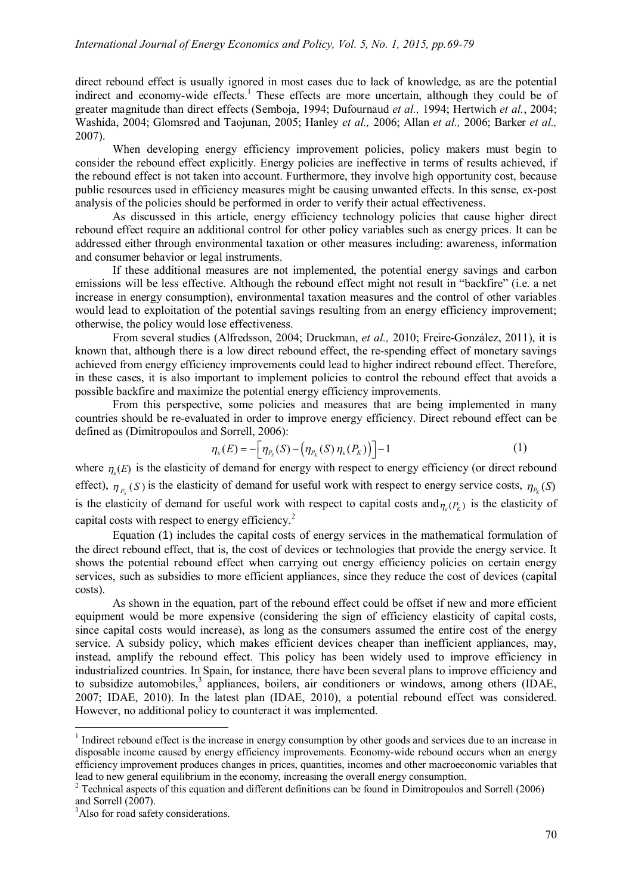direct rebound effect is usually ignored in most cases due to lack of knowledge, as are the potential indirect and economy-wide effects.<sup>1</sup> These effects are more uncertain, although they could be of greater magnitude than direct effects (Semboja, 1994; Dufournaud *et al.,* 1994; Hertwich *et al.*, 2004; Washida, 2004; Glomsrød and Taojunan, 2005; Hanley *et al.,* 2006; Allan *et al.,* 2006; Barker *et al.,*  2007).

When developing energy efficiency improvement policies, policy makers must begin to consider the rebound effect explicitly. Energy policies are ineffective in terms of results achieved, if the rebound effect is not taken into account. Furthermore, they involve high opportunity cost, because public resources used in efficiency measures might be causing unwanted effects. In this sense, ex-post analysis of the policies should be performed in order to verify their actual effectiveness.

As discussed in this article, energy efficiency technology policies that cause higher direct rebound effect require an additional control for other policy variables such as energy prices. It can be addressed either through environmental taxation or other measures including: awareness, information and consumer behavior or legal instruments.

If these additional measures are not implemented, the potential energy savings and carbon emissions will be less effective. Although the rebound effect might not result in "backfire" (i.e. a net increase in energy consumption), environmental taxation measures and the control of other variables would lead to exploitation of the potential savings resulting from an energy efficiency improvement; otherwise, the policy would lose effectiveness.

From several studies (Alfredsson, 2004; Druckman, *et al.,* 2010; Freire-González, 2011), it is known that, although there is a low direct rebound effect, the re-spending effect of monetary savings achieved from energy efficiency improvements could lead to higher indirect rebound effect. Therefore, in these cases, it is also important to implement policies to control the rebound effect that avoids a possible backfire and maximize the potential energy efficiency improvements.

From this perspective, some policies and measures that are being implemented in many countries should be re-evaluated in order to improve energy efficiency. Direct rebound effect can be defined as (Dimitropoulos and Sorrell, 2006):

$$
\eta_{\varepsilon}(E) = -\Big[\eta_{P_{\varepsilon}}(S) - \big(\eta_{P_{\varepsilon}}(S)\,\eta_{\varepsilon}(P_{\varepsilon})\big)\Big] - 1\tag{1}
$$

where  $\eta_{\varepsilon}(E)$  is the elasticity of demand for energy with respect to energy efficiency (or direct rebound effect),  $\eta_{P_s}(S)$  is the elasticity of demand for useful work with respect to energy service costs,  $\eta_{P_k}(S)$ is the elasticity of demand for useful work with respect to capital costs and  $_{\eta_{\varepsilon}(P_K)}$  is the elasticity of capital costs with respect to energy efficiency.<sup>2</sup>

Equation (1) includes the capital costs of energy services in the mathematical formulation of the direct rebound effect, that is, the cost of devices or technologies that provide the energy service. It shows the potential rebound effect when carrying out energy efficiency policies on certain energy services, such as subsidies to more efficient appliances, since they reduce the cost of devices (capital costs).

As shown in the equation, part of the rebound effect could be offset if new and more efficient equipment would be more expensive (considering the sign of efficiency elasticity of capital costs, since capital costs would increase), as long as the consumers assumed the entire cost of the energy service. A subsidy policy, which makes efficient devices cheaper than inefficient appliances, may, instead, amplify the rebound effect. This policy has been widely used to improve efficiency in industrialized countries. In Spain, for instance, there have been several plans to improve efficiency and to subsidize automobiles,<sup>3</sup> appliances, boilers, air conditioners or windows, among others (IDAE, 2007; IDAE, 2010). In the latest plan (IDAE, 2010), a potential rebound effect was considered. However, no additional policy to counteract it was implemented.

 $\overline{a}$ 

<sup>&</sup>lt;sup>1</sup> Indirect rebound effect is the increase in energy consumption by other goods and services due to an increase in disposable income caused by energy efficiency improvements. Economy-wide rebound occurs when an energy efficiency improvement produces changes in prices, quantities, incomes and other macroeconomic variables that lead to new general equilibrium in the economy, increasing the overall energy consumption.

<sup>&</sup>lt;sup>2</sup> Technical aspects of this equation and different definitions can be found in Dimitropoulos and Sorrell (2006) and Sorrell (2007).

<sup>&</sup>lt;sup>3</sup>Also for road safety considerations.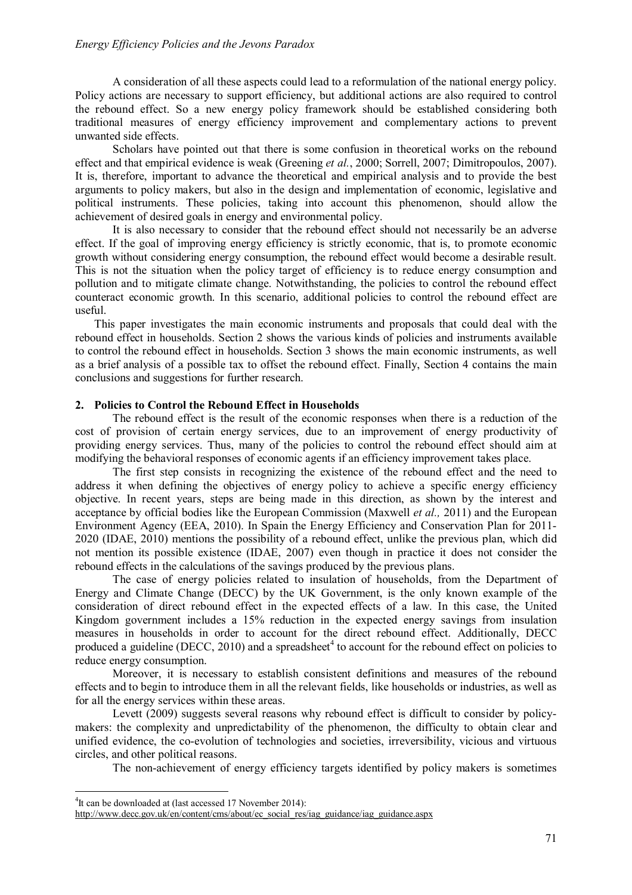A consideration of all these aspects could lead to a reformulation of the national energy policy. Policy actions are necessary to support efficiency, but additional actions are also required to control the rebound effect. So a new energy policy framework should be established considering both traditional measures of energy efficiency improvement and complementary actions to prevent unwanted side effects.

Scholars have pointed out that there is some confusion in theoretical works on the rebound effect and that empirical evidence is weak (Greening *et al.*, 2000; Sorrell, 2007; Dimitropoulos, 2007). It is, therefore, important to advance the theoretical and empirical analysis and to provide the best arguments to policy makers, but also in the design and implementation of economic, legislative and political instruments. These policies, taking into account this phenomenon, should allow the achievement of desired goals in energy and environmental policy.

It is also necessary to consider that the rebound effect should not necessarily be an adverse effect. If the goal of improving energy efficiency is strictly economic, that is, to promote economic growth without considering energy consumption, the rebound effect would become a desirable result. This is not the situation when the policy target of efficiency is to reduce energy consumption and pollution and to mitigate climate change. Notwithstanding, the policies to control the rebound effect counteract economic growth. In this scenario, additional policies to control the rebound effect are useful.

This paper investigates the main economic instruments and proposals that could deal with the rebound effect in households. Section 2 shows the various kinds of policies and instruments available to control the rebound effect in households. Section 3 shows the main economic instruments, as well as a brief analysis of a possible tax to offset the rebound effect. Finally, Section 4 contains the main conclusions and suggestions for further research.

### **2. Policies to Control the Rebound Effect in Households**

The rebound effect is the result of the economic responses when there is a reduction of the cost of provision of certain energy services, due to an improvement of energy productivity of providing energy services. Thus, many of the policies to control the rebound effect should aim at modifying the behavioral responses of economic agents if an efficiency improvement takes place.

The first step consists in recognizing the existence of the rebound effect and the need to address it when defining the objectives of energy policy to achieve a specific energy efficiency objective. In recent years, steps are being made in this direction, as shown by the interest and acceptance by official bodies like the European Commission (Maxwell *et al.,* 2011) and the European Environment Agency (EEA, 2010). In Spain the Energy Efficiency and Conservation Plan for 2011- 2020 (IDAE, 2010) mentions the possibility of a rebound effect, unlike the previous plan, which did not mention its possible existence (IDAE, 2007) even though in practice it does not consider the rebound effects in the calculations of the savings produced by the previous plans.

The case of energy policies related to insulation of households, from the Department of Energy and Climate Change (DECC) by the UK Government, is the only known example of the consideration of direct rebound effect in the expected effects of a law. In this case, the United Kingdom government includes a 15% reduction in the expected energy savings from insulation measures in households in order to account for the direct rebound effect. Additionally, DECC produced a guideline (DECC, 2010) and a spreadsheet<sup>4</sup> to account for the rebound effect on policies to reduce energy consumption.

Moreover, it is necessary to establish consistent definitions and measures of the rebound effects and to begin to introduce them in all the relevant fields, like households or industries, as well as for all the energy services within these areas.

Levett (2009) suggests several reasons why rebound effect is difficult to consider by policymakers: the complexity and unpredictability of the phenomenon, the difficulty to obtain clear and unified evidence, the co-evolution of technologies and societies, irreversibility, vicious and virtuous circles, and other political reasons.

The non-achievement of energy efficiency targets identified by policy makers is sometimes

 $\overline{a}$ 

<sup>&</sup>lt;sup>4</sup>It can be downloaded at (last accessed 17 November 2014):

http://www.decc.gov.uk/en/content/cms/about/ec\_social\_res/iag\_guidance/iag\_guidance.aspx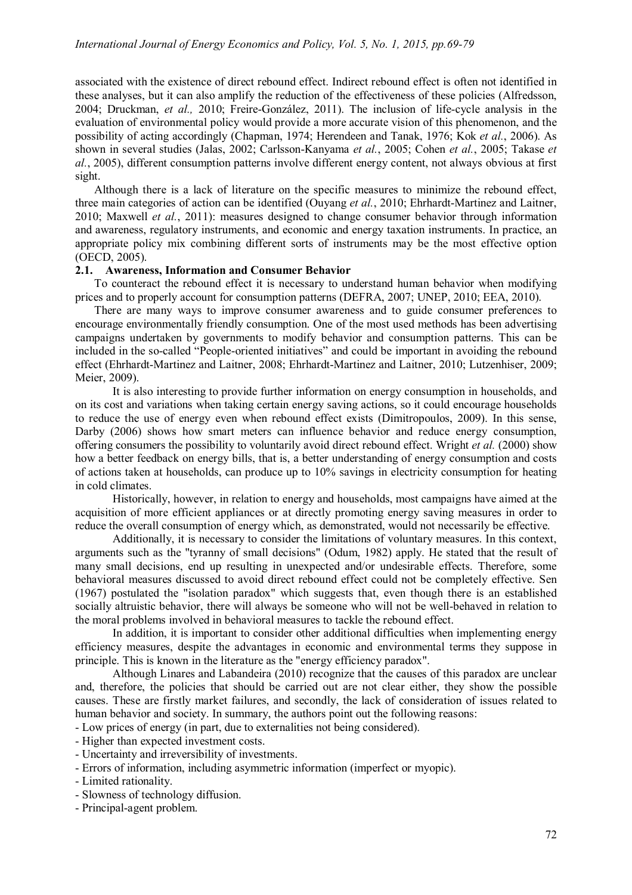associated with the existence of direct rebound effect. Indirect rebound effect is often not identified in these analyses, but it can also amplify the reduction of the effectiveness of these policies (Alfredsson, 2004; Druckman, *et al.,* 2010; Freire-González, 2011). The inclusion of life-cycle analysis in the evaluation of environmental policy would provide a more accurate vision of this phenomenon, and the possibility of acting accordingly (Chapman, 1974; Herendeen and Tanak, 1976; Kok *et al.*, 2006). As shown in several studies (Jalas, 2002; Carlsson-Kanyama *et al.*, 2005; Cohen *et al.*, 2005; Takase *et al.*, 2005), different consumption patterns involve different energy content, not always obvious at first sight.

Although there is a lack of literature on the specific measures to minimize the rebound effect, three main categories of action can be identified (Ouyang *et al.*, 2010; Ehrhardt-Martinez and Laitner, 2010; Maxwell *et al.*, 2011): measures designed to change consumer behavior through information and awareness, regulatory instruments, and economic and energy taxation instruments. In practice, an appropriate policy mix combining different sorts of instruments may be the most effective option (OECD, 2005).

## **2.1. Awareness, Information and Consumer Behavior**

To counteract the rebound effect it is necessary to understand human behavior when modifying prices and to properly account for consumption patterns (DEFRA, 2007; UNEP, 2010; EEA, 2010).

There are many ways to improve consumer awareness and to guide consumer preferences to encourage environmentally friendly consumption. One of the most used methods has been advertising campaigns undertaken by governments to modify behavior and consumption patterns. This can be included in the so-called "People-oriented initiatives" and could be important in avoiding the rebound effect (Ehrhardt-Martinez and Laitner, 2008; Ehrhardt-Martinez and Laitner, 2010; Lutzenhiser, 2009; Meier, 2009).

It is also interesting to provide further information on energy consumption in households, and on its cost and variations when taking certain energy saving actions, so it could encourage households to reduce the use of energy even when rebound effect exists (Dimitropoulos, 2009). In this sense, Darby (2006) shows how smart meters can influence behavior and reduce energy consumption, offering consumers the possibility to voluntarily avoid direct rebound effect. Wright *et al.* (2000) show how a better feedback on energy bills, that is, a better understanding of energy consumption and costs of actions taken at households, can produce up to 10% savings in electricity consumption for heating in cold climates.

Historically, however, in relation to energy and households, most campaigns have aimed at the acquisition of more efficient appliances or at directly promoting energy saving measures in order to reduce the overall consumption of energy which, as demonstrated, would not necessarily be effective.

Additionally, it is necessary to consider the limitations of voluntary measures. In this context, arguments such as the "tyranny of small decisions" (Odum, 1982) apply. He stated that the result of many small decisions, end up resulting in unexpected and/or undesirable effects. Therefore, some behavioral measures discussed to avoid direct rebound effect could not be completely effective. Sen (1967) postulated the "isolation paradox" which suggests that, even though there is an established socially altruistic behavior, there will always be someone who will not be well-behaved in relation to the moral problems involved in behavioral measures to tackle the rebound effect.

In addition, it is important to consider other additional difficulties when implementing energy efficiency measures, despite the advantages in economic and environmental terms they suppose in principle. This is known in the literature as the "energy efficiency paradox".

Although Linares and Labandeira (2010) recognize that the causes of this paradox are unclear and, therefore, the policies that should be carried out are not clear either, they show the possible causes. These are firstly market failures, and secondly, the lack of consideration of issues related to human behavior and society. In summary, the authors point out the following reasons:

- Low prices of energy (in part, due to externalities not being considered).

- Higher than expected investment costs.
- Uncertainty and irreversibility of investments.
- Errors of information, including asymmetric information (imperfect or myopic).
- Limited rationality.
- Slowness of technology diffusion.
- Principal-agent problem.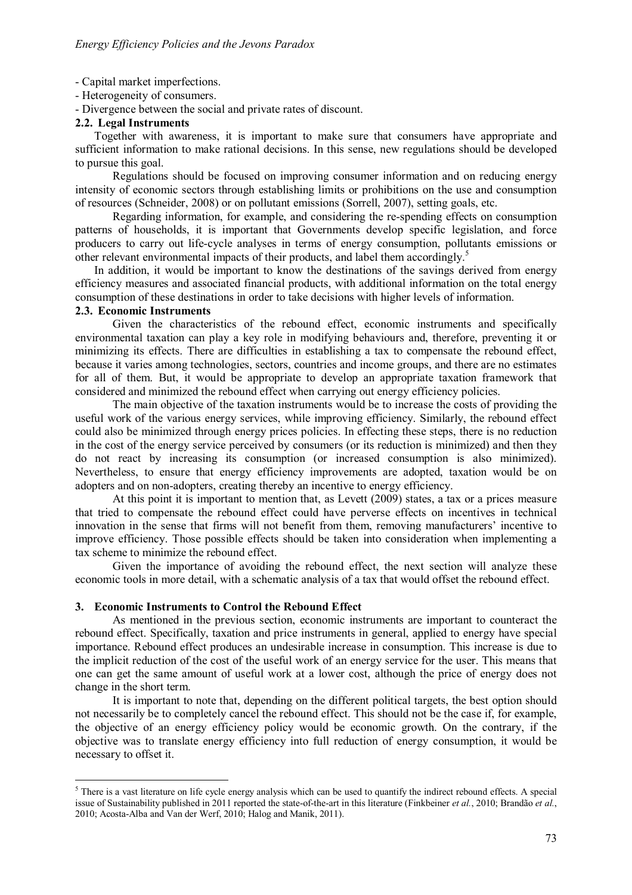- Capital market imperfections.

- Heterogeneity of consumers.
- Divergence between the social and private rates of discount.

## **2.2. Legal Instruments**

Together with awareness, it is important to make sure that consumers have appropriate and sufficient information to make rational decisions. In this sense, new regulations should be developed to pursue this goal.

Regulations should be focused on improving consumer information and on reducing energy intensity of economic sectors through establishing limits or prohibitions on the use and consumption of resources (Schneider, 2008) or on pollutant emissions (Sorrell, 2007), setting goals, etc.

Regarding information, for example, and considering the re-spending effects on consumption patterns of households, it is important that Governments develop specific legislation, and force producers to carry out life-cycle analyses in terms of energy consumption, pollutants emissions or other relevant environmental impacts of their products, and label them accordingly.<sup>5</sup>

In addition, it would be important to know the destinations of the savings derived from energy efficiency measures and associated financial products, with additional information on the total energy consumption of these destinations in order to take decisions with higher levels of information.

# **2.3. Economic Instruments**

 $\overline{a}$ 

Given the characteristics of the rebound effect, economic instruments and specifically environmental taxation can play a key role in modifying behaviours and, therefore, preventing it or minimizing its effects. There are difficulties in establishing a tax to compensate the rebound effect, because it varies among technologies, sectors, countries and income groups, and there are no estimates for all of them. But, it would be appropriate to develop an appropriate taxation framework that considered and minimized the rebound effect when carrying out energy efficiency policies.

The main objective of the taxation instruments would be to increase the costs of providing the useful work of the various energy services, while improving efficiency. Similarly, the rebound effect could also be minimized through energy prices policies. In effecting these steps, there is no reduction in the cost of the energy service perceived by consumers (or its reduction is minimized) and then they do not react by increasing its consumption (or increased consumption is also minimized). Nevertheless, to ensure that energy efficiency improvements are adopted, taxation would be on adopters and on non-adopters, creating thereby an incentive to energy efficiency.

At this point it is important to mention that, as Levett (2009) states, a tax or a prices measure that tried to compensate the rebound effect could have perverse effects on incentives in technical innovation in the sense that firms will not benefit from them, removing manufacturers' incentive to improve efficiency. Those possible effects should be taken into consideration when implementing a tax scheme to minimize the rebound effect.

Given the importance of avoiding the rebound effect, the next section will analyze these economic tools in more detail, with a schematic analysis of a tax that would offset the rebound effect.

### **3. Economic Instruments to Control the Rebound Effect**

As mentioned in the previous section, economic instruments are important to counteract the rebound effect. Specifically, taxation and price instruments in general, applied to energy have special importance. Rebound effect produces an undesirable increase in consumption. This increase is due to the implicit reduction of the cost of the useful work of an energy service for the user. This means that one can get the same amount of useful work at a lower cost, although the price of energy does not change in the short term.

It is important to note that, depending on the different political targets, the best option should not necessarily be to completely cancel the rebound effect. This should not be the case if, for example, the objective of an energy efficiency policy would be economic growth. On the contrary, if the objective was to translate energy efficiency into full reduction of energy consumption, it would be necessary to offset it.

 $<sup>5</sup>$  There is a vast literature on life cycle energy analysis which can be used to quantify the indirect rebound effects. A special</sup> issue of Sustainability published in 2011 reported the state-of-the-art in this literature (Finkbeiner *et al.*, 2010; Brandão *et al.*, 2010; Acosta-Alba and Van der Werf, 2010; Halog and Manik, 2011).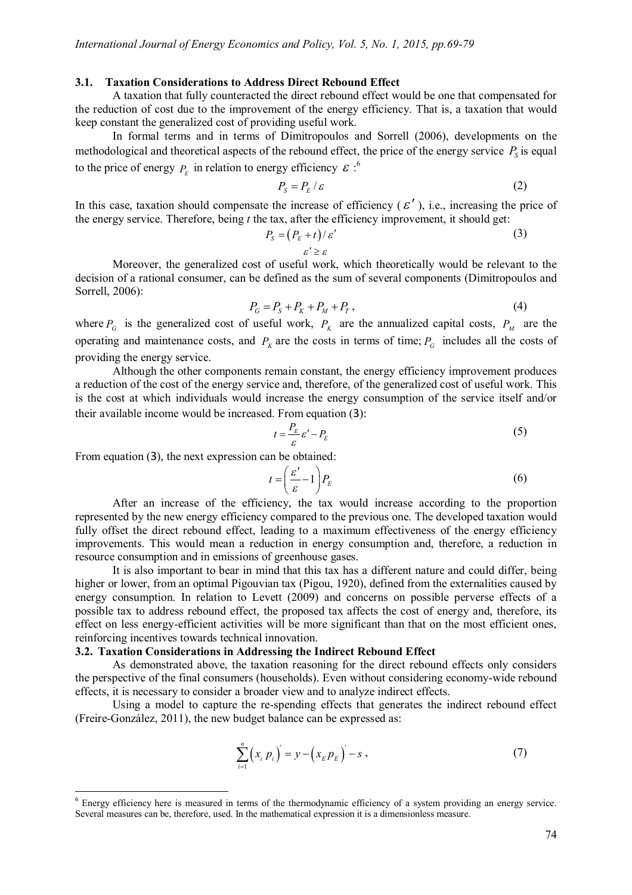#### **3.1. Taxation Considerations to Address Direct Rebound Effect**

A taxation that fully counteracted the direct rebound effect would be one that compensated for the reduction of cost due to the improvement of the energy efficiency. That is, a taxation that would keep constant the generalized cost of providing useful work.

In formal terms and in terms of Dimitropoulos and Sorrell (2006), developments on the methodological and theoretical aspects of the rebound effect, the price of the energy service  $P<sub>S</sub>$  is equal to the price of energy  $P_E$  in relation to energy efficiency  $\mathcal{E}$ :<sup>6</sup>

$$
P_{\rm s} = P_{\rm E} / \varepsilon \tag{2}
$$

In this case, taxation should compensate the increase of efficiency ( $\epsilon'$ ), i.e., increasing the price of the energy service. Therefore, being *t* the tax, after the efficiency improvement, it should get:

$$
P_s = (P_E + t)/\varepsilon'
$$
  
\n
$$
\varepsilon' \ge \varepsilon
$$
\n(3)

Moreover, the generalized cost of useful work, which theoretically would be relevant to the decision of a rational consumer, can be defined as the sum of several components (Dimitropoulos and Sorrell, 2006):

$$
P_G = P_S + P_K + P_M + P_T, \tag{4}
$$

where  $P_G$  is the generalized cost of useful work,  $P_K$  are the annualized capital costs,  $P_M$  are the operating and maintenance costs, and  $P_k$  are the costs in terms of time;  $P_G$  includes all the costs of providing the energy service.

Although the other components remain constant, the energy efficiency improvement produces a reduction of the cost of the energy service and, therefore, of the generalized cost of useful work. This is the cost at which individuals would increase the energy consumption of the service itself and/or their available income would be increased. From equation (3):

$$
t = \frac{P_E}{\varepsilon} \varepsilon' - P_E \tag{5}
$$

From equation (3), the next expression can be obtained:

 $\overline{a}$ 

$$
t = \left(\frac{\varepsilon'}{\varepsilon} - 1\right) P_E \tag{6}
$$

After an increase of the efficiency, the tax would increase according to the proportion represented by the new energy efficiency compared to the previous one. The developed taxation would fully offset the direct rebound effect, leading to a maximum effectiveness of the energy efficiency improvements. This would mean a reduction in energy consumption and, therefore, a reduction in resource consumption and in emissions of greenhouse gases.

It is also important to bear in mind that this tax has a different nature and could differ, being higher or lower, from an optimal Pigouvian tax (Pigou, 1920), defined from the externalities caused by energy consumption. In relation to Levett (2009) and concerns on possible perverse effects of a possible tax to address rebound effect, the proposed tax affects the cost of energy and, therefore, its effect on less energy-efficient activities will be more significant than that on the most efficient ones, reinforcing incentives towards technical innovation.

## **3.2. Taxation Considerations in Addressing the Indirect Rebound Effect**

As demonstrated above, the taxation reasoning for the direct rebound effects only considers the perspective of the final consumers (households). Even without considering economy-wide rebound effects, it is necessary to consider a broader view and to analyze indirect effects.

Using a model to capture the re-spending effects that generates the indirect rebound effect (Freire-González, 2011), the new budget balance can be expressed as:

$$
\sum_{i=1}^{n} (x_i p_i) = y - (x_E p_E) - s,
$$
\n(7)

<sup>6</sup> Energy efficiency here is measured in terms of the thermodynamic efficiency of a system providing an energy service. Several measures can be, therefore, used. In the mathematical expression it is a dimensionless measure.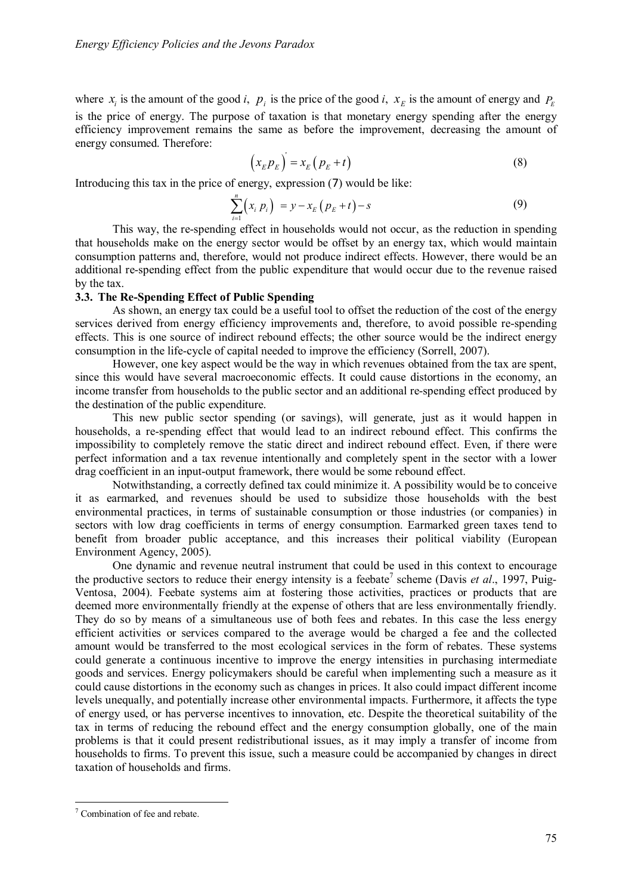where  $x_i$  is the amount of the good *i*,  $p_i$  is the price of the good *i*,  $x_E$  is the amount of energy and  $P_E$ is the price of energy. The purpose of taxation is that monetary energy spending after the energy efficiency improvement remains the same as before the improvement, decreasing the amount of energy consumed. Therefore:

$$
\left(x_E p_E\right) = x_E \left(p_E + t\right) \tag{8}
$$

Introducing this tax in the price of energy, expression (7) would be like:

$$
\sum_{i=1}^{n} (x_i p_i) = y - x_E (p_E + t) - s
$$
\n(9)

This way, the re-spending effect in households would not occur, as the reduction in spending that households make on the energy sector would be offset by an energy tax, which would maintain consumption patterns and, therefore, would not produce indirect effects. However, there would be an additional re-spending effect from the public expenditure that would occur due to the revenue raised by the tax.

## **3.3. The Re-Spending Effect of Public Spending**

As shown, an energy tax could be a useful tool to offset the reduction of the cost of the energy services derived from energy efficiency improvements and, therefore, to avoid possible re-spending effects. This is one source of indirect rebound effects; the other source would be the indirect energy consumption in the life-cycle of capital needed to improve the efficiency (Sorrell, 2007).

However, one key aspect would be the way in which revenues obtained from the tax are spent, since this would have several macroeconomic effects. It could cause distortions in the economy, an income transfer from households to the public sector and an additional re-spending effect produced by the destination of the public expenditure.

This new public sector spending (or savings), will generate, just as it would happen in households, a re-spending effect that would lead to an indirect rebound effect. This confirms the impossibility to completely remove the static direct and indirect rebound effect. Even, if there were perfect information and a tax revenue intentionally and completely spent in the sector with a lower drag coefficient in an input-output framework, there would be some rebound effect.

Notwithstanding, a correctly defined tax could minimize it. A possibility would be to conceive it as earmarked, and revenues should be used to subsidize those households with the best environmental practices, in terms of sustainable consumption or those industries (or companies) in sectors with low drag coefficients in terms of energy consumption. Earmarked green taxes tend to benefit from broader public acceptance, and this increases their political viability (European Environment Agency, 2005).

One dynamic and revenue neutral instrument that could be used in this context to encourage the productive sectors to reduce their energy intensity is a feebate<sup>7</sup> scheme (Davis *et al.*, 1997, Puig-Ventosa, 2004). Feebate systems aim at fostering those activities, practices or products that are deemed more environmentally friendly at the expense of others that are less environmentally friendly. They do so by means of a simultaneous use of both fees and rebates. In this case the less energy efficient activities or services compared to the average would be charged a fee and the collected amount would be transferred to the most ecological services in the form of rebates. These systems could generate a continuous incentive to improve the energy intensities in purchasing intermediate goods and services. Energy policymakers should be careful when implementing such a measure as it could cause distortions in the economy such as changes in prices. It also could impact different income levels unequally, and potentially increase other environmental impacts. Furthermore, it affects the type of energy used, or has perverse incentives to innovation, etc. Despite the theoretical suitability of the tax in terms of reducing the rebound effect and the energy consumption globally, one of the main problems is that it could present redistributional issues, as it may imply a transfer of income from households to firms. To prevent this issue, such a measure could be accompanied by changes in direct taxation of households and firms.

 $\overline{a}$ 

<sup>&</sup>lt;sup>7</sup> Combination of fee and rebate.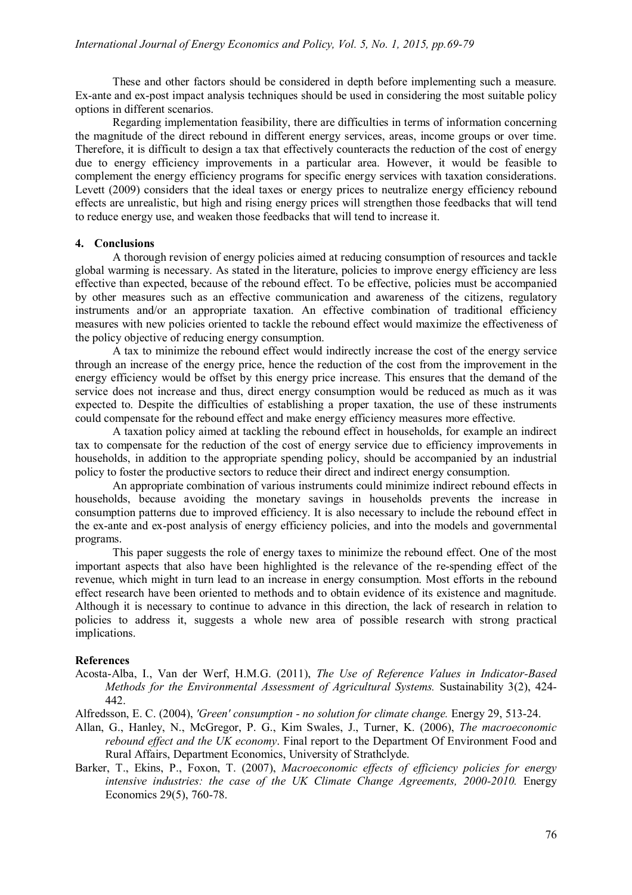These and other factors should be considered in depth before implementing such a measure. Ex-ante and ex-post impact analysis techniques should be used in considering the most suitable policy options in different scenarios.

Regarding implementation feasibility, there are difficulties in terms of information concerning the magnitude of the direct rebound in different energy services, areas, income groups or over time. Therefore, it is difficult to design a tax that effectively counteracts the reduction of the cost of energy due to energy efficiency improvements in a particular area. However, it would be feasible to complement the energy efficiency programs for specific energy services with taxation considerations. Levett (2009) considers that the ideal taxes or energy prices to neutralize energy efficiency rebound effects are unrealistic, but high and rising energy prices will strengthen those feedbacks that will tend to reduce energy use, and weaken those feedbacks that will tend to increase it.

#### **4. Conclusions**

A thorough revision of energy policies aimed at reducing consumption of resources and tackle global warming is necessary. As stated in the literature, policies to improve energy efficiency are less effective than expected, because of the rebound effect. To be effective, policies must be accompanied by other measures such as an effective communication and awareness of the citizens, regulatory instruments and/or an appropriate taxation. An effective combination of traditional efficiency measures with new policies oriented to tackle the rebound effect would maximize the effectiveness of the policy objective of reducing energy consumption.

A tax to minimize the rebound effect would indirectly increase the cost of the energy service through an increase of the energy price, hence the reduction of the cost from the improvement in the energy efficiency would be offset by this energy price increase. This ensures that the demand of the service does not increase and thus, direct energy consumption would be reduced as much as it was expected to. Despite the difficulties of establishing a proper taxation, the use of these instruments could compensate for the rebound effect and make energy efficiency measures more effective.

A taxation policy aimed at tackling the rebound effect in households, for example an indirect tax to compensate for the reduction of the cost of energy service due to efficiency improvements in households, in addition to the appropriate spending policy, should be accompanied by an industrial policy to foster the productive sectors to reduce their direct and indirect energy consumption.

An appropriate combination of various instruments could minimize indirect rebound effects in households, because avoiding the monetary savings in households prevents the increase in consumption patterns due to improved efficiency. It is also necessary to include the rebound effect in the ex-ante and ex-post analysis of energy efficiency policies, and into the models and governmental programs.

This paper suggests the role of energy taxes to minimize the rebound effect. One of the most important aspects that also have been highlighted is the relevance of the re-spending effect of the revenue, which might in turn lead to an increase in energy consumption. Most efforts in the rebound effect research have been oriented to methods and to obtain evidence of its existence and magnitude. Although it is necessary to continue to advance in this direction, the lack of research in relation to policies to address it, suggests a whole new area of possible research with strong practical implications.

### **References**

Acosta-Alba, I., Van der Werf, H.M.G. (2011), *The Use of Reference Values in Indicator-Based Methods for the Environmental Assessment of Agricultural Systems.* Sustainability 3(2), 424- 442.

Alfredsson, E. C. (2004), *'Green' consumption - no solution for climate change.* Energy 29, 513-24.

- Allan, G., Hanley, N., McGregor, P. G., Kim Swales, J., Turner, K. (2006), *The macroeconomic rebound effect and the UK economy*. Final report to the Department Of Environment Food and Rural Affairs, Department Economics, University of Strathclyde.
- Barker, T., Ekins, P., Foxon, T. (2007), *Macroeconomic effects of efficiency policies for energy* intensive industries: the case of the UK Climate Change Agreements, 2000-2010. Energy Economics 29(5), 760-78.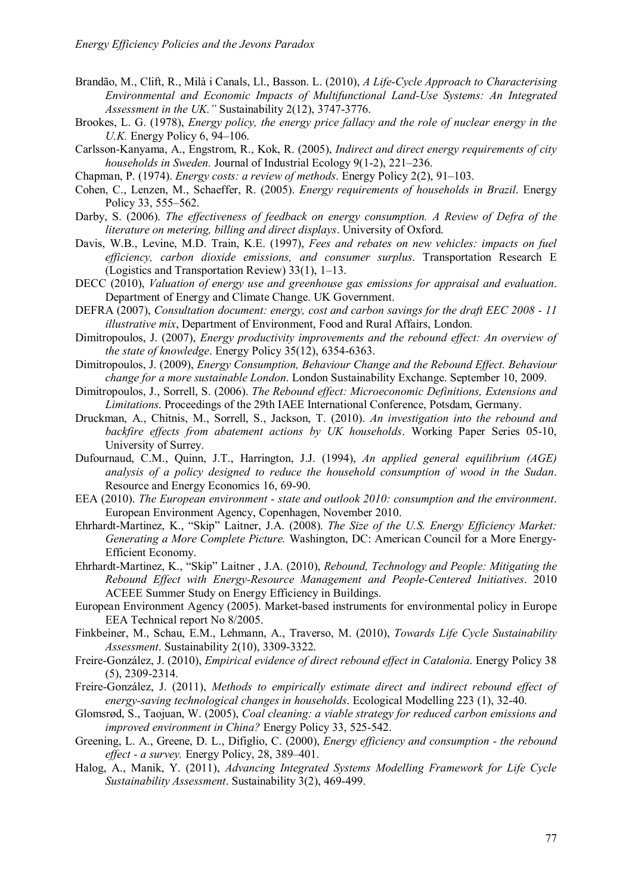- Brandão, M., Clift, R., Milà i Canals, Ll., Basson. L. (2010), *A Life-Cycle Approach to Characterising Environmental and Economic Impacts of Multifunctional Land-Use Systems: An Integrated Assessment in the UK."* Sustainability 2(12), 3747-3776.
- Brookes, L. G. (1978), *Energy policy, the energy price fallacy and the role of nuclear energy in the U.K.* Energy Policy 6, 94–106.
- Carlsson-Kanyama, A., Engstrom, R., Kok, R. (2005), *Indirect and direct energy requirements of city households in Sweden.* Journal of Industrial Ecology 9(1-2), 221–236.
- Chapman, P. (1974). *Energy costs: a review of methods*. Energy Policy 2(2), 91–103.
- Cohen, C., Lenzen, M., Schaeffer, R. (2005). *Energy requirements of households in Brazil*. Energy Policy 33, 555–562.
- Darby, S. (2006). *The effectiveness of feedback on energy consumption. A Review of Defra of the literature on metering, billing and direct displays*. University of Oxford.
- Davis, W.B., Levine, M.D. Train, K.E. (1997), *Fees and rebates on new vehicles: impacts on fuel efficiency, carbon dioxide emissions, and consumer surplus*. Transportation Research E (Logistics and Transportation Review) 33(1), 1–13.
- DECC (2010), *Valuation of energy use and greenhouse gas emissions for appraisal and evaluation*. Department of Energy and Climate Change. UK Government.
- DEFRA (2007), *Consultation document: energy, cost and carbon savings for the draft EEC 2008 - 11 illustrative mix*, Department of Environment, Food and Rural Affairs, London.
- Dimitropoulos, J. (2007), *Energy productivity improvements and the rebound effect: An overview of the state of knowledge*. Energy Policy 35(12), 6354-6363.
- Dimitropoulos, J. (2009), *Energy Consumption, Behaviour Change and the Rebound Effect. Behaviour change for a more sustainable London*. London Sustainability Exchange. September 10, 2009.
- Dimitropoulos, J., Sorrell, S. (2006). *The Rebound effect: Microeconomic Definitions, Extensions and Limitations*. Proceedings of the 29th IAEE International Conference, Potsdam, Germany.
- Druckman, A., Chitnis, M., Sorrell, S., Jackson, T. (2010). *An investigation into the rebound and backfire effects from abatement actions by UK households*. Working Paper Series 05-10, University of Surrey.
- Dufournaud, C.M., Quinn, J.T., Harrington, J.J. (1994), *An applied general equilibrium (AGE) analysis of a policy designed to reduce the household consumption of wood in the Sudan*. Resource and Energy Economics 16, 69-90.
- EEA (2010). *The European environment - state and outlook 2010: consumption and the environment*. European Environment Agency, Copenhagen, November 2010.
- Ehrhardt-Martinez, K., "Skip" Laitner, J.A. (2008). *The Size of the U.S. Energy Efficiency Market: Generating a More Complete Picture.* Washington, DC: American Council for a More Energy-Efficient Economy.
- Ehrhardt-Martinez, K., "Skip" Laitner , J.A. (2010), *Rebound, Technology and People: Mitigating the Rebound Effect with Energy-Resource Management and People-Centered Initiatives*. 2010 ACEEE Summer Study on Energy Efficiency in Buildings.
- European Environment Agency (2005). Market-based instruments for environmental policy in Europe EEA Technical report No 8/2005.
- Finkbeiner, M., Schau, E.M., Lehmann, A., Traverso, M. (2010), *Towards Life Cycle Sustainability Assessment*. Sustainability 2(10), 3309-3322.
- Freire-González, J. (2010), *Empirical evidence of direct rebound effect in Catalonia*. Energy Policy 38 (5), 2309-2314.
- Freire-González, J. (2011), *Methods to empirically estimate direct and indirect rebound effect of energy-saving technological changes in households*. Ecological Modelling 223 (1), 32-40.
- Glomsrød, S., Taojuan, W. (2005), *Coal cleaning: a viable strategy for reduced carbon emissions and improved environment in China?* Energy Policy 33, 525-542.
- Greening, L. A., Greene, D. L., Difiglio, C. (2000), *Energy efficiency and consumption - the rebound effect - a survey.* Energy Policy, 28, 389–401.
- Halog, A., Manik, Y. (2011), *Advancing Integrated Systems Modelling Framework for Life Cycle Sustainability Assessment*. Sustainability 3(2), 469-499.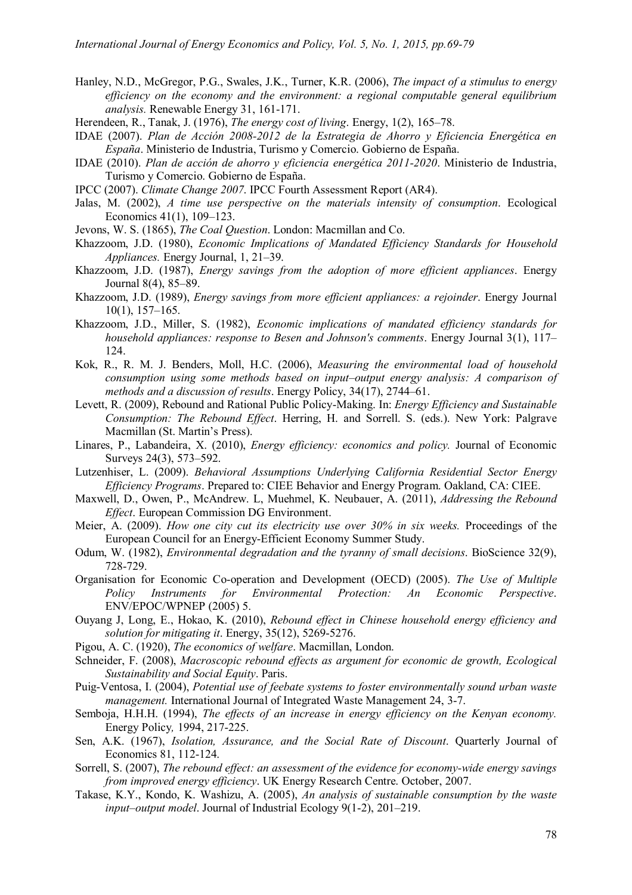- Hanley, N.D., McGregor, P.G., Swales, J.K., Turner, K.R. (2006), *The impact of a stimulus to energy efficiency on the economy and the environment: a regional computable general equilibrium analysis.* Renewable Energy 31, 161-171.
- Herendeen, R., Tanak, J. (1976), *The energy cost of living*. Energy, 1(2), 165–78.
- IDAE (2007). *Plan de Acción 2008-2012 de la Estrategia de Ahorro y Eficiencia Energética en España*. Ministerio de Industria, Turismo y Comercio. Gobierno de España.
- IDAE (2010). *Plan de acción de ahorro y eficiencia energética 2011-2020*. Ministerio de Industria, Turismo y Comercio. Gobierno de España.
- IPCC (2007). *Climate Change 2007*. IPCC Fourth Assessment Report (AR4).
- Jalas, M. (2002), *A time use perspective on the materials intensity of consumption*. Ecological Economics 41(1), 109–123.
- Jevons, W. S. (1865), *The Coal Question*. London: Macmillan and Co.
- Khazzoom, J.D. (1980), *Economic Implications of Mandated Efficiency Standards for Household Appliances.* Energy Journal, 1, 21–39.
- Khazzoom, J.D. (1987), *Energy savings from the adoption of more efficient appliances*. Energy Journal 8(4), 85–89.
- Khazzoom, J.D. (1989), *Energy savings from more efficient appliances: a rejoinder*. Energy Journal 10(1), 157–165.
- Khazzoom, J.D., Miller, S. (1982), *Economic implications of mandated efficiency standards for household appliances: response to Besen and Johnson's comments*. Energy Journal 3(1), 117– 124.
- Kok, R., R. M. J. Benders, Moll, H.C. (2006), *Measuring the environmental load of household consumption using some methods based on input–output energy analysis: A comparison of methods and a discussion of results*. Energy Policy, 34(17), 2744–61.
- Levett, R. (2009), Rebound and Rational Public Policy-Making. In: *Energy Efficiency and Sustainable Consumption: The Rebound Effect*. Herring, H. and Sorrell. S. (eds.). New York: Palgrave Macmillan (St. Martin's Press).
- Linares, P., Labandeira, X. (2010), *Energy efficiency: economics and policy.* Journal of Economic Surveys 24(3), 573–592.
- Lutzenhiser, L. (2009). *Behavioral Assumptions Underlying California Residential Sector Energy Efficiency Programs*. Prepared to: CIEE Behavior and Energy Program. Oakland, CA: CIEE.
- Maxwell, D., Owen, P., McAndrew. L, Muehmel, K. Neubauer, A. (2011), *Addressing the Rebound Effect*. European Commission DG Environment.
- Meier, A. (2009). *How one city cut its electricity use over 30% in six weeks.* Proceedings of the European Council for an Energy-Efficient Economy Summer Study.
- Odum, W. (1982), *Environmental degradation and the tyranny of small decisions*. BioScience 32(9), 728-729.
- Organisation for Economic Co-operation and Development (OECD) (2005). *The Use of Multiple Policy Instruments for Environmental Protection: An Economic Perspective*. ENV/EPOC/WPNEP (2005) 5.
- Ouyang J, Long, E., Hokao, K. (2010), *Rebound effect in Chinese household energy efficiency and solution for mitigating it*. Energy, 35(12), 5269-5276.
- Pigou, A. C. (1920), *The economics of welfare*. Macmillan, London.
- Schneider, F. (2008), *Macroscopic rebound effects as argument for economic de growth, Ecological Sustainability and Social Equity*. Paris.
- Puig-Ventosa, I. (2004), *Potential use of feebate systems to foster environmentally sound urban waste management.* International Journal of Integrated Waste Management 24, 3-7.
- Semboja, H.H.H. (1994), *The effects of an increase in energy efficiency on the Kenyan economy.*  Energy Policy*,* 1994, 217-225.
- Sen, A.K. (1967), *Isolation, Assurance, and the Social Rate of Discount*. Quarterly Journal of Economics 81, 112-124.
- Sorrell, S. (2007), *The rebound effect: an assessment of the evidence for economy-wide energy savings from improved energy efficiency*. UK Energy Research Centre. October, 2007.
- Takase, K.Y., Kondo, K. Washizu, A. (2005), *An analysis of sustainable consumption by the waste input–output model*. Journal of Industrial Ecology 9(1-2), 201–219.